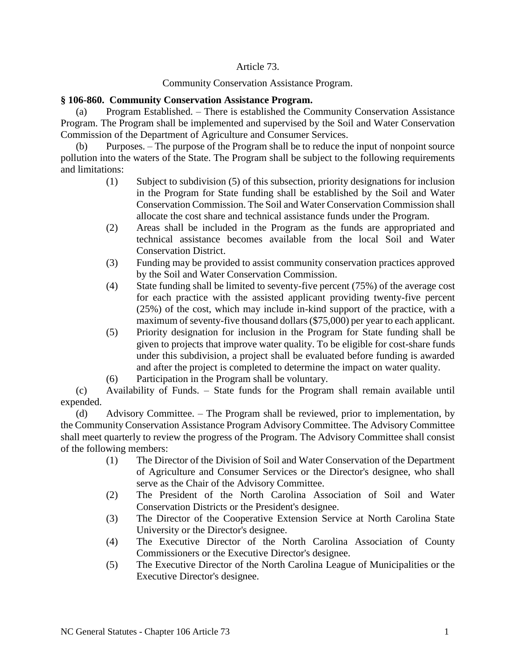## Article 73.

## Community Conservation Assistance Program.

## **§ 106-860. Community Conservation Assistance Program.**

(a) Program Established. – There is established the Community Conservation Assistance Program. The Program shall be implemented and supervised by the Soil and Water Conservation Commission of the Department of Agriculture and Consumer Services.

(b) Purposes. – The purpose of the Program shall be to reduce the input of nonpoint source pollution into the waters of the State. The Program shall be subject to the following requirements and limitations:

- (1) Subject to subdivision (5) of this subsection, priority designations for inclusion in the Program for State funding shall be established by the Soil and Water Conservation Commission. The Soil and Water Conservation Commission shall allocate the cost share and technical assistance funds under the Program.
- (2) Areas shall be included in the Program as the funds are appropriated and technical assistance becomes available from the local Soil and Water Conservation District.
- (3) Funding may be provided to assist community conservation practices approved by the Soil and Water Conservation Commission.
- (4) State funding shall be limited to seventy-five percent (75%) of the average cost for each practice with the assisted applicant providing twenty-five percent (25%) of the cost, which may include in-kind support of the practice, with a maximum of seventy-five thousand dollars (\$75,000) per year to each applicant.
- (5) Priority designation for inclusion in the Program for State funding shall be given to projects that improve water quality. To be eligible for cost-share funds under this subdivision, a project shall be evaluated before funding is awarded and after the project is completed to determine the impact on water quality.
- (6) Participation in the Program shall be voluntary.

(c) Availability of Funds. – State funds for the Program shall remain available until expended.

(d) Advisory Committee. – The Program shall be reviewed, prior to implementation, by the Community Conservation Assistance Program Advisory Committee. The Advisory Committee shall meet quarterly to review the progress of the Program. The Advisory Committee shall consist of the following members:

- (1) The Director of the Division of Soil and Water Conservation of the Department of Agriculture and Consumer Services or the Director's designee, who shall serve as the Chair of the Advisory Committee.
- (2) The President of the North Carolina Association of Soil and Water Conservation Districts or the President's designee.
- (3) The Director of the Cooperative Extension Service at North Carolina State University or the Director's designee.
- (4) The Executive Director of the North Carolina Association of County Commissioners or the Executive Director's designee.
- (5) The Executive Director of the North Carolina League of Municipalities or the Executive Director's designee.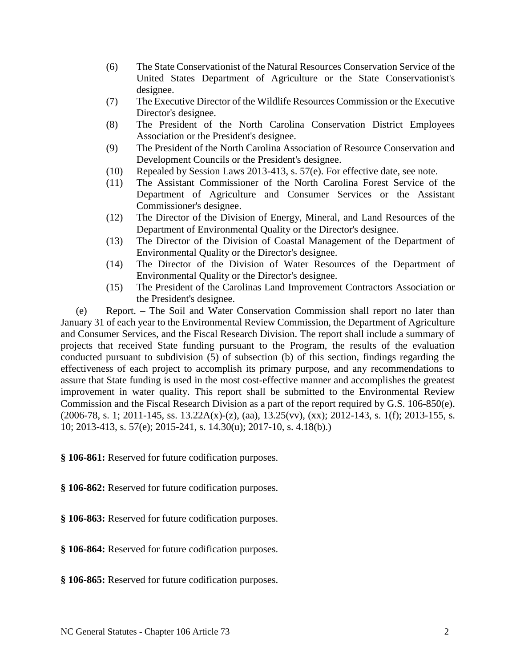- (6) The State Conservationist of the Natural Resources Conservation Service of the United States Department of Agriculture or the State Conservationist's designee.
- (7) The Executive Director of the Wildlife Resources Commission or the Executive Director's designee.
- (8) The President of the North Carolina Conservation District Employees Association or the President's designee.
- (9) The President of the North Carolina Association of Resource Conservation and Development Councils or the President's designee.
- (10) Repealed by Session Laws 2013-413, s. 57(e). For effective date, see note.
- (11) The Assistant Commissioner of the North Carolina Forest Service of the Department of Agriculture and Consumer Services or the Assistant Commissioner's designee.
- (12) The Director of the Division of Energy, Mineral, and Land Resources of the Department of Environmental Quality or the Director's designee.
- (13) The Director of the Division of Coastal Management of the Department of Environmental Quality or the Director's designee.
- (14) The Director of the Division of Water Resources of the Department of Environmental Quality or the Director's designee.
- (15) The President of the Carolinas Land Improvement Contractors Association or the President's designee.

(e) Report. – The Soil and Water Conservation Commission shall report no later than January 31 of each year to the Environmental Review Commission, the Department of Agriculture and Consumer Services, and the Fiscal Research Division. The report shall include a summary of projects that received State funding pursuant to the Program, the results of the evaluation conducted pursuant to subdivision (5) of subsection (b) of this section, findings regarding the effectiveness of each project to accomplish its primary purpose, and any recommendations to assure that State funding is used in the most cost-effective manner and accomplishes the greatest improvement in water quality. This report shall be submitted to the Environmental Review Commission and the Fiscal Research Division as a part of the report required by G.S. 106-850(e).  $(2006-78, s. 1; 2011-145, ss. 13.22A(x)-(z), (aa), 13.25(vv), (xx); 2012-143, s. 1(f); 2013-155, s.$ 10; 2013-413, s. 57(e); 2015-241, s. 14.30(u); 2017-10, s. 4.18(b).)

**§ 106-861:** Reserved for future codification purposes.

**§ 106-862:** Reserved for future codification purposes.

- **§ 106-863:** Reserved for future codification purposes.
- **§ 106-864:** Reserved for future codification purposes.
- **§ 106-865:** Reserved for future codification purposes.